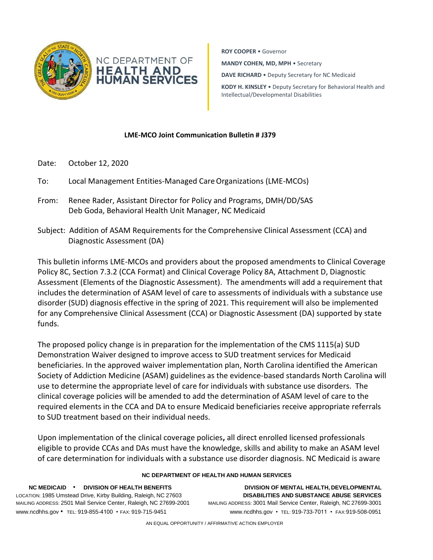

**ROY COOPER** • Governor **MANDY COHEN, MD, MPH** • Secretary **DAVE RICHARD** • Deputy Secretary for NC Medicaid **KODY H. KINSLEY** • Deputy Secretary for Behavioral Health and

Intellectual/Developmental Disabilities

**LME-MCO Joint Communication Bulletin # J379**

- Date: October 12, 2020
- To: Local Management Entities-Managed CareOrganizations (LME-MCOs)
- From: Renee Rader, Assistant Director for Policy and Programs, DMH/DD/SAS Deb Goda, Behavioral Health Unit Manager, NC Medicaid
- Subject: Addition of ASAM Requirements for the Comprehensive Clinical Assessment (CCA) and Diagnostic Assessment (DA)

This bulletin informs LME-MCOs and providers about the proposed amendments to Clinical Coverage Policy 8C, Section 7.3.2 (CCA Format) and Clinical Coverage Policy 8A, Attachment D, Diagnostic Assessment (Elements of the Diagnostic Assessment). The amendments will add a requirement that includes the determination of ASAM level of care to assessments of individuals with a substance use disorder (SUD) diagnosis effective in the spring of 2021. This requirement will also be implemented for any Comprehensive Clinical Assessment (CCA) or Diagnostic Assessment (DA) supported by state funds.

The proposed policy change is in preparation for the implementation of the CMS 1115(a) SUD Demonstration Waiver designed to improve access to SUD treatment services for Medicaid beneficiaries. In the approved waiver implementation plan, North Carolina identified the American Society of Addiction Medicine (ASAM) guidelines as the evidence-based standards North Carolina will use to determine the appropriate level of care for individuals with substance use disorders. The clinical coverage policies will be amended to add the determination of ASAM level of care to the required elements in the CCA and DA to ensure Medicaid beneficiaries receive appropriate referrals to SUD treatment based on their individual needs.

Upon implementation of the clinical coverage policies**,** all direct enrolled licensed professionals eligible to provide CCAs and DAs must have the knowledge, skills and ability to make an ASAM level of care determination for individuals with a substance use disorder diagnosis. NC Medicaid is aware

## **NC DEPARTMENT OF HEALTH AND HUMAN SERVICES**

**NC MEDICAID** • **DIVISION OF HEALTH BENEFITS DIVISION OF MENTAL HEALTH, DEVELOPMENTAL** LOCATION: 1985 Umstead Drive, Kirby Building, Raleigh, NC 27603 **DISABILITIES AND SUBSTANCE ABUSE SERVICES** MAILING ADDRESS: 2501 Mail Service Center, Raleigh, NC 27699-2001 MAILING ADDRESS: 3001 Mail Service Center, Raleigh, NC 27699-3001 [www.ncdhhs.gov](http://www.ncdhhs.gov/) • TEL: 919-855-4100 • FAX: 919-715-9451 [www.ncdhhs.gov](http://www.ncdhhs.gov/) • TEL: 919-733-7011 • FAX:919-508-0951